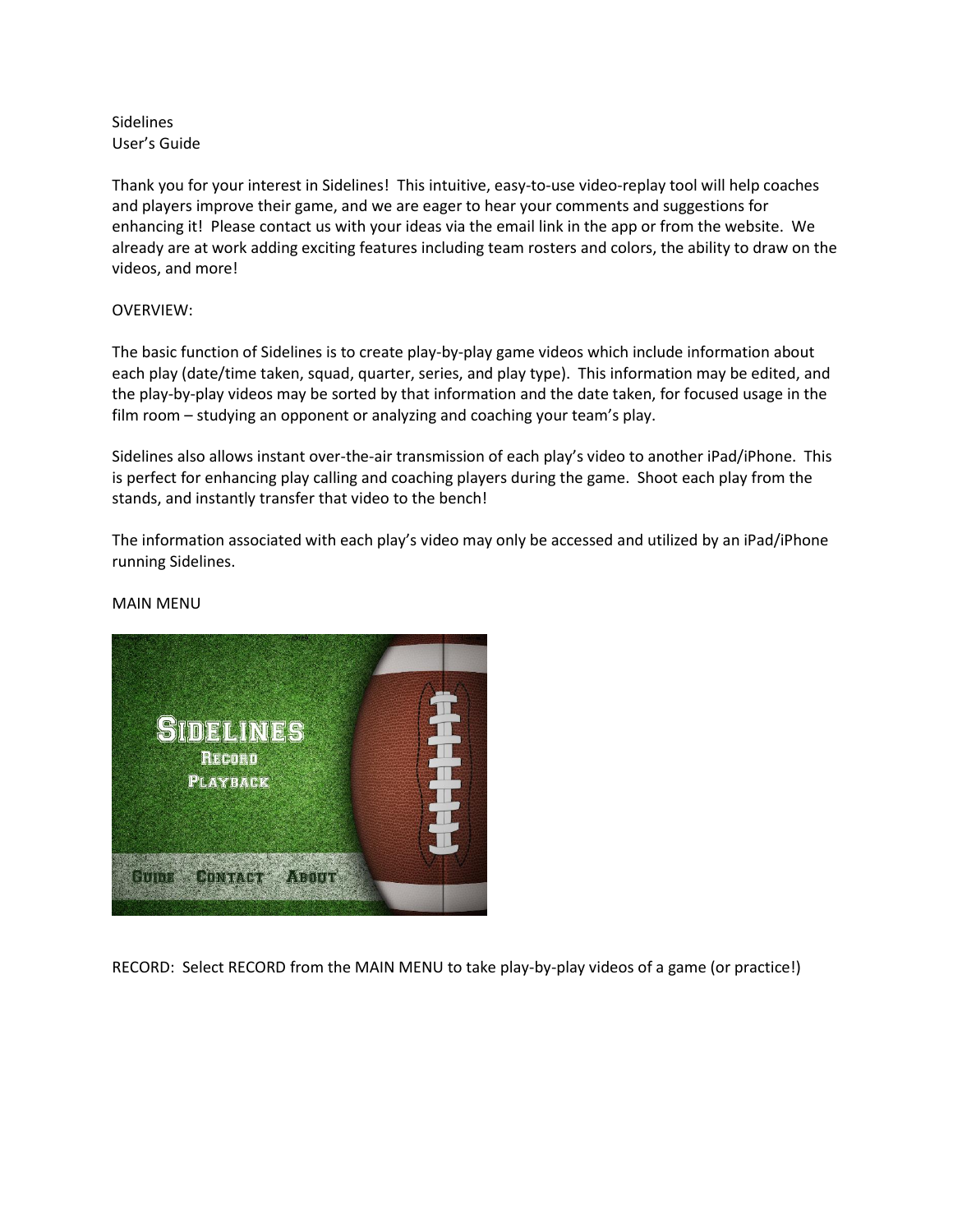Sidelines User's Guide

Thank you for your interest in Sidelines! This intuitive, easy-to-use video-replay tool will help coaches and players improve their game, and we are eager to hear your comments and suggestions for enhancing it! Please contact us with your ideas via the email link in the app or from the website. We already are at work adding exciting features including team rosters and colors, the ability to draw on the videos, and more!

# OVERVIEW:

The basic function of Sidelines is to create play-by-play game videos which include information about each play (date/time taken, squad, quarter, series, and play type). This information may be edited, and the play-by-play videos may be sorted by that information and the date taken, for focused usage in the film room – studying an opponent or analyzing and coaching your team's play.

Sidelines also allows instant over-the-air transmission of each play's video to another iPad/iPhone. This is perfect for enhancing play calling and coaching players during the game. Shoot each play from the stands, and instantly transfer that video to the bench!

The information associated with each play's video may only be accessed and utilized by an iPad/iPhone running Sidelines.

# MAIN MENU



RECORD: Select RECORD from the MAIN MENU to take play-by-play videos of a game (or practice!)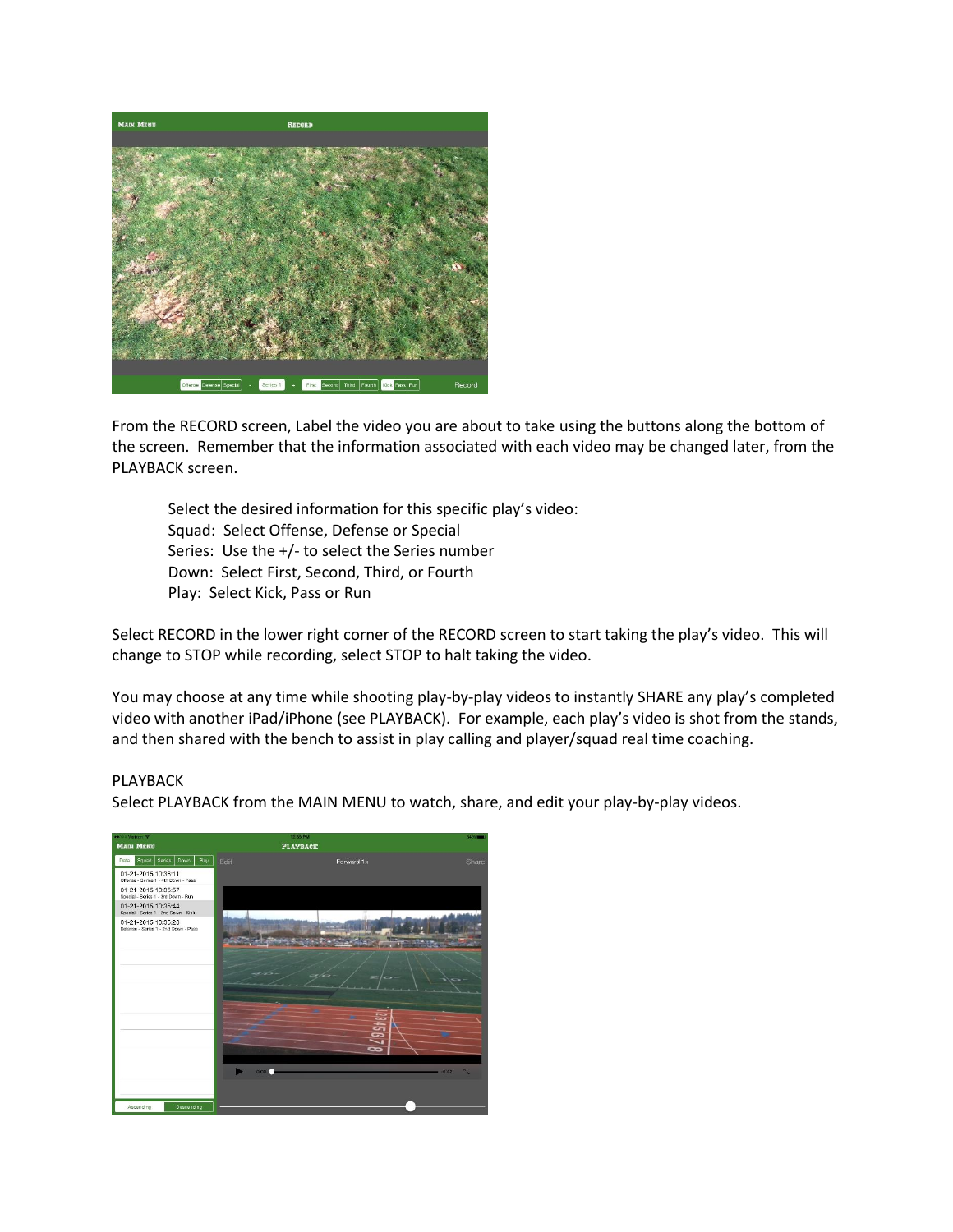

From the RECORD screen, Label the video you are about to take using the buttons along the bottom of the screen. Remember that the information associated with each video may be changed later, from the PLAYBACK screen.

Select the desired information for this specific play's video: Squad: Select Offense, Defense or Special Series: Use the +/- to select the Series number Down: Select First, Second, Third, or Fourth Play: Select Kick, Pass or Run

Select RECORD in the lower right corner of the RECORD screen to start taking the play's video. This will change to STOP while recording, select STOP to halt taking the video.

You may choose at any time while shooting play-by-play videos to instantly SHARE any play's completed video with another iPad/iPhone (see PLAYBACK). For example, each play's video is shot from the stands, and then shared with the bench to assist in play calling and player/squad real time coaching.

#### PLAYBACK

Select PLAYBACK from the MAIN MENU to watch, share, and edit your play-by-play videos.

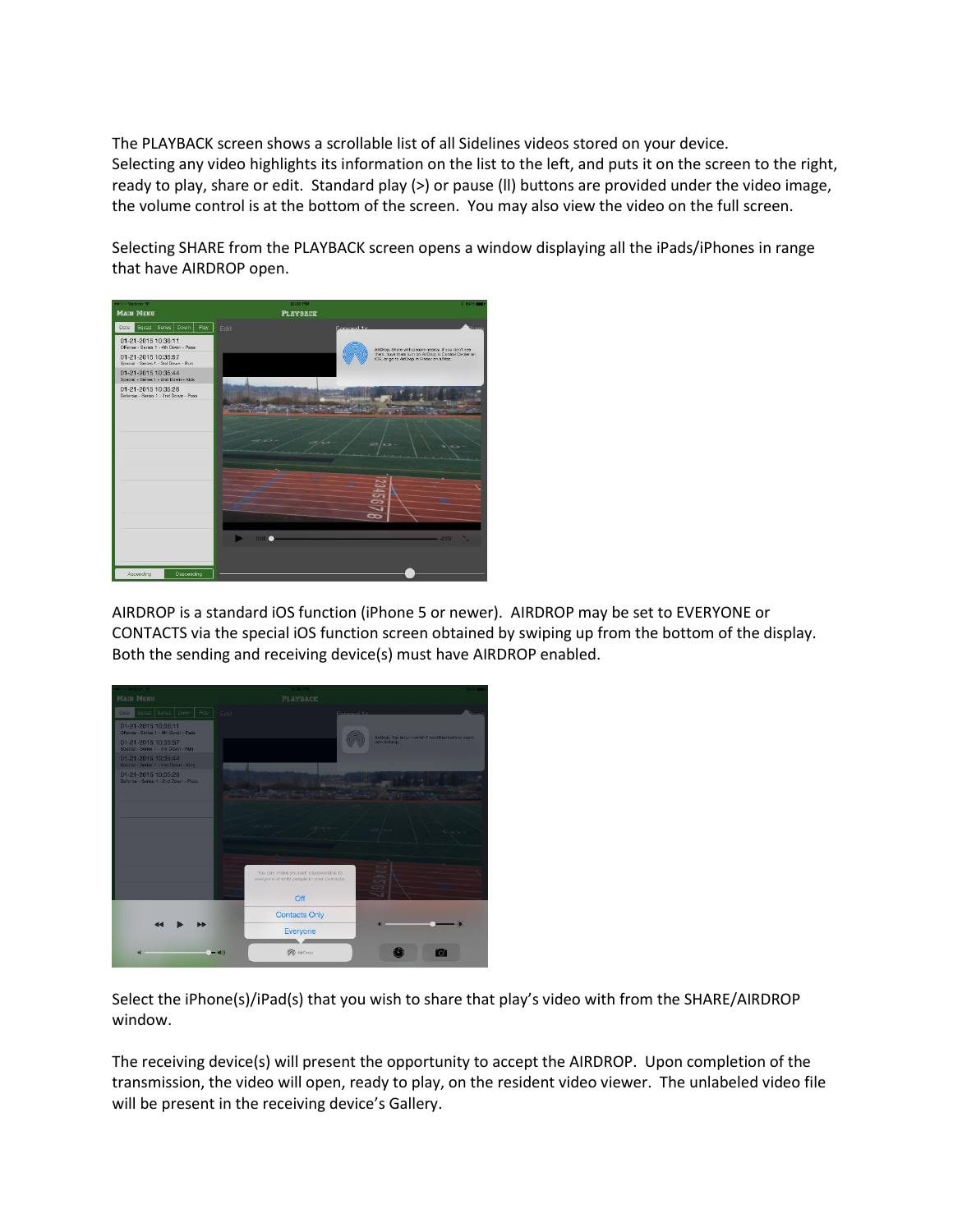The PLAYBACK screen shows a scrollable list of all Sidelines videos stored on your device. Selecting any video highlights its information on the list to the left, and puts it on the screen to the right, ready to play, share or edit. Standard play (>) or pause (II) buttons are provided under the video image, the volume control is at the bottom of the screen. You may also view the video on the full screen.

Selecting SHARE from the PLAYBACK screen opens a window displaying all the iPads/iPhones in range that have AIRDROP open.



AIRDROP is a standard iOS function (iPhone 5 or newer). AIRDROP may be set to EVERYONE or CONTACTS via the special iOS function screen obtained by swiping up from the bottom of the display. Both the sending and receiving device(s) must have AIRDROP enabled.



Select the iPhone(s)/iPad(s) that you wish to share that play's video with from the SHARE/AIRDROP window.

The receiving device(s) will present the opportunity to accept the AIRDROP. Upon completion of the transmission, the video will open, ready to play, on the resident video viewer. The unlabeled video file will be present in the receiving device's Gallery.